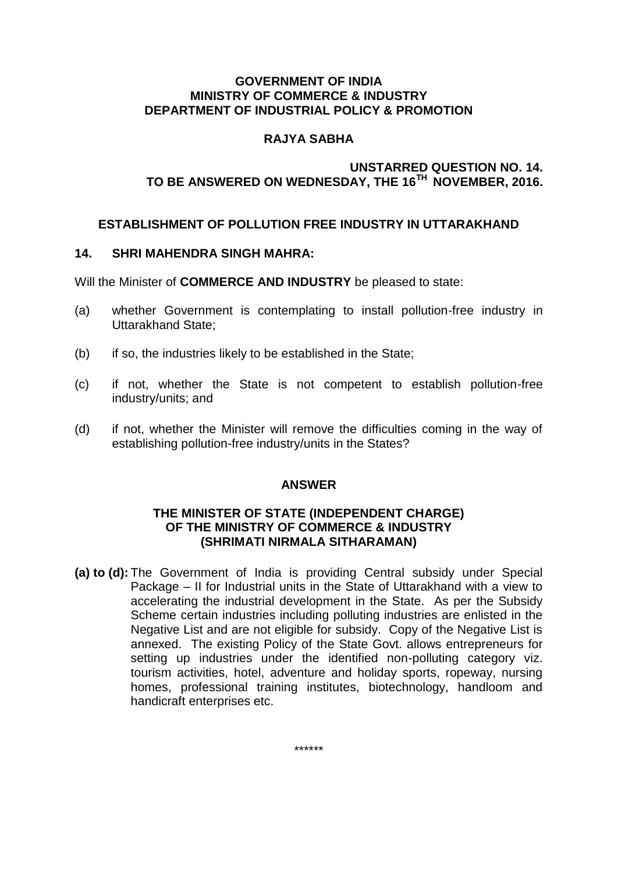### **GOVERNMENT OF INDIA MINISTRY OF COMMERCE & INDUSTRY DEPARTMENT OF INDUSTRIAL POLICY & PROMOTION**

# **RAJYA SABHA**

# **UNSTARRED QUESTION NO. 14. TO BE ANSWERED ON WEDNESDAY, THE 16TH NOVEMBER, 2016.**

# **ESTABLISHMENT OF POLLUTION FREE INDUSTRY IN UTTARAKHAND**

### **14. SHRI MAHENDRA SINGH MAHRA:**

Will the Minister of **COMMERCE AND INDUSTRY** be pleased to state:

- (a) whether Government is contemplating to install pollution-free industry in Uttarakhand State;
- (b) if so, the industries likely to be established in the State;
- (c) if not, whether the State is not competent to establish pollution-free industry/units; and
- (d) if not, whether the Minister will remove the difficulties coming in the way of establishing pollution-free industry/units in the States?

## **ANSWER**

### **THE MINISTER OF STATE (INDEPENDENT CHARGE) OF THE MINISTRY OF COMMERCE & INDUSTRY (SHRIMATI NIRMALA SITHARAMAN)**

**(a) to (d):** The Government of India is providing Central subsidy under Special Package – II for Industrial units in the State of Uttarakhand with a view to accelerating the industrial development in the State. As per the Subsidy Scheme certain industries including polluting industries are enlisted in the Negative List and are not eligible for subsidy. Copy of the Negative List is annexed. The existing Policy of the State Govt. allows entrepreneurs for setting up industries under the identified non-polluting category viz. tourism activities, hotel, adventure and holiday sports, ropeway, nursing homes, professional training institutes, biotechnology, handloom and handicraft enterprises etc.

\*\*\*\*\*\*